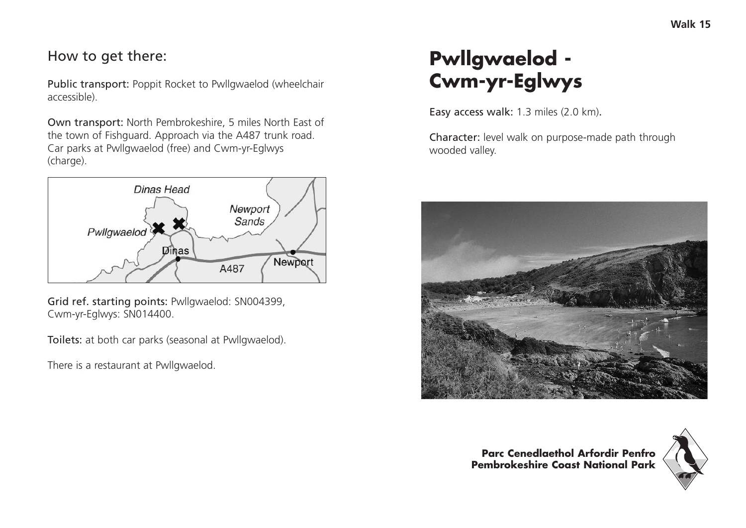## How to get there:

Public transport: Poppit Rocket to Pwllgwaelod (wheelchair accessible).

Own transport: North Pembrokeshire, 5 miles North East of the town of Fishguard. Approach via the A487 trunk road. Car parks at Pwllgwaelod (free) and Cwm-yr-Eglwys (charge).



Grid ref. starting points: Pwllgwaelod: SN004399, Cwm-yr-Eglwys: SN014400.

Toilets: at both car parks (seasonal at Pwllgwaelod).

There is a restaurant at Pwllgwaelod.

# **Pwllgwaelod - Cwm-yr-Eglwys**

Easy access walk: 1.3 miles (2.0 km).

Character: level walk on purpose-made path through wooded valley.



**Parc Cenedlaethol Arfordir Penfro Pembrokeshire Coast National Park**

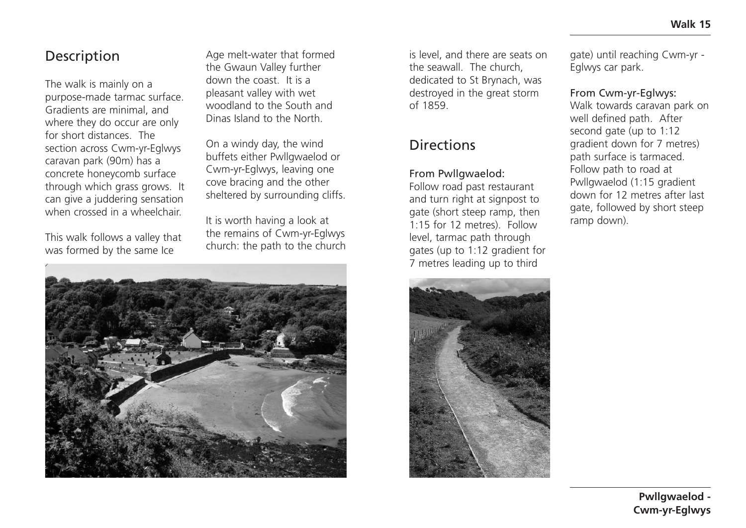### **Description**

The walk is mainly on a purpose-made tarmac surface. Gradients are minimal, and where they do occur are only for short distances. The section across Cwm-yr-Eglwys caravan park (90m) has a concrete honeycomb surface through which grass grows. It can give a juddering sensation when crossed in a wheelchair.

This walk follows a valley that was formed by the same Ice

Age melt-water that formed the Gwaun Valley further down the coast. It is a pleasant valley with wet woodland to the South and Dinas Island to the North.

On a windy day, the wind buffets either Pwllgwaelod or Cwm-yr-Eglwys, leaving one cove bracing and the other sheltered by surrounding cliffs.

It is worth having a look at the remains of Cwm-yr-Eglwys church: the path to the church



is level, and there are seats on the seawall. The church, dedicated to St Brynach, was destroyed in the great storm of 1859.

## **Directions**

#### From Pwllgwaelod:

Follow road past restaurant and turn right at signpost to gate (short steep ramp, then 1:15 for 12 metres). Follow level, tarmac path through gates (up to 1:12 gradient for 7 metres leading up to third



gate) until reaching Cwm-yr - Eglwys car park.

#### From Cwm-yr-Eglwys:

Walk towards caravan park on well defined path. After second gate (up to 1:12 gradient down for 7 metres) path surface is tarmaced. Follow path to road at Pwllgwaelod (1:15 gradient down for 12 metres after last gate, followed by short steep ramp down).